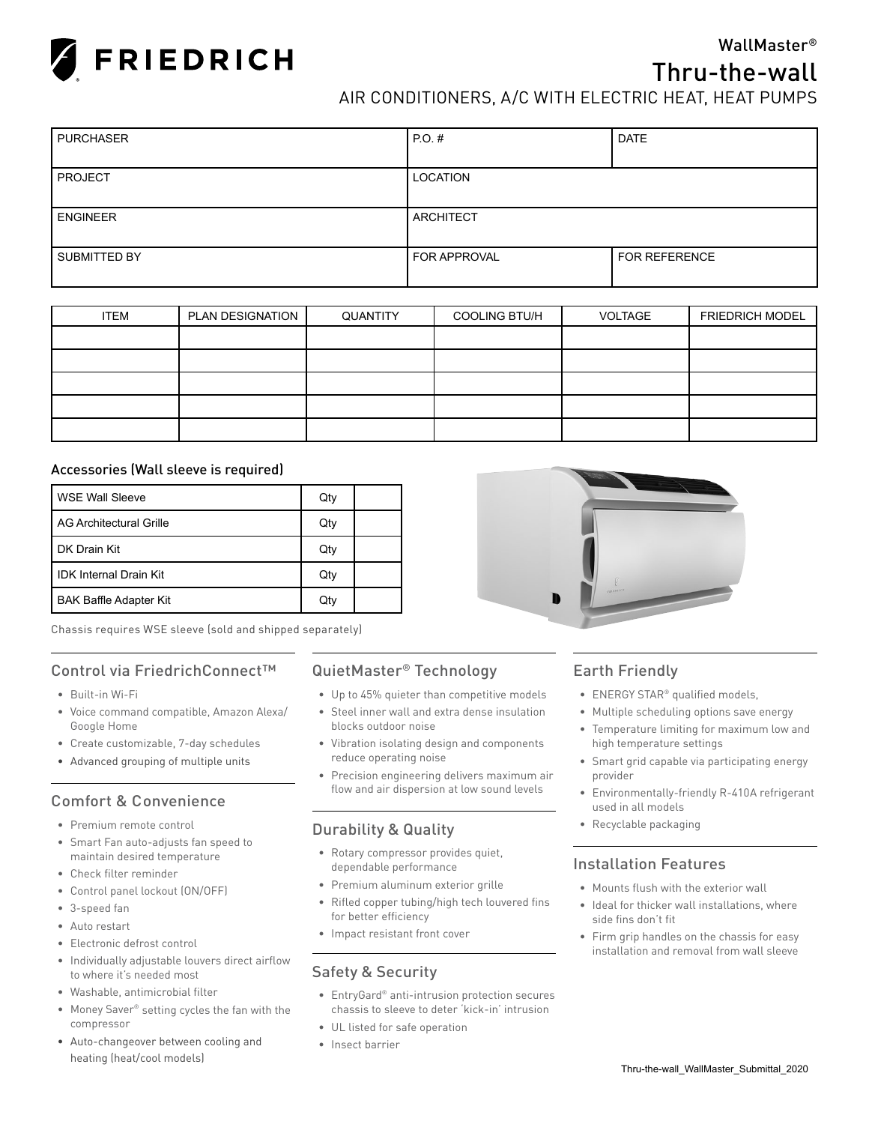

## WallMaster®

# Thru-the-wall

AIR CONDITIONERS, A/C WITH ELECTRIC HEAT, HEAT PUMPS

| <b>PURCHASER</b> | $PO.$ #             | <b>DATE</b>   |
|------------------|---------------------|---------------|
|                  |                     |               |
| <b>PROJECT</b>   | <b>LOCATION</b>     |               |
|                  |                     |               |
| <b>ENGINEER</b>  | ARCHITECT           |               |
|                  |                     |               |
| SUBMITTED BY     | <b>FOR APPROVAL</b> | FOR REFERENCE |
|                  |                     |               |

| <b>ITEM</b> | PLAN DESIGNATION | QUANTITY | <b>COOLING BTU/H</b> | <b>VOLTAGE</b> | <b>FRIEDRICH MODEL</b> |
|-------------|------------------|----------|----------------------|----------------|------------------------|
|             |                  |          |                      |                |                        |
|             |                  |          |                      |                |                        |
|             |                  |          |                      |                |                        |
|             |                  |          |                      |                |                        |
|             |                  |          |                      |                |                        |

#### Accessories (Wall sleeve is required)

| l WSE Wall Sleeve             | Qty |  |
|-------------------------------|-----|--|
| l AG Architectural Grille     | Qty |  |
| DK Drain Kit                  | Qty |  |
| <b>IDK Internal Drain Kit</b> | Qty |  |
| <b>BAK Baffle Adapter Kit</b> | Qty |  |

Chassis requires WSE sleeve (sold and shipped separately)

### Control via FriedrichConnect™

- Built-in Wi-Fi
- Voice command compatible, Amazon Alexa/ Google Home
- Create customizable, 7-day schedules
- Advanced grouping of multiple units

# Comfort & Convenience

- Premium remote control
- Smart Fan auto-adjusts fan speed to maintain desired temperature
- Check filter reminder
- Control panel lockout (ON/OFF)
- 3-speed fan
- Auto restart
- Electronic defrost control
- Individually adjustable louvers direct airflow to where it's needed most
- Washable, antimicrobial filter
- Money Saver® setting cycles the fan with the compressor
- Auto-changeover between cooling and heating (heat/cool models)

### QuietMaster® Technology

- Up to 45% quieter than competitive models
- Steel inner wall and extra dense insulation blocks outdoor noise
- Vibration isolating design and components reduce operating noise
- Precision engineering delivers maximum air flow and air dispersion at low sound levels

### Durability & Quality

- Rotary compressor provides quiet, dependable performance
- Premium aluminum exterior grille
- Rifled copper tubing/high tech louvered fins for better efficiency
- Impact resistant front cover

### Safety & Security

- EntryGard® anti-intrusion protection secures chassis to sleeve to deter 'kick-in' intrusion
- UL listed for safe operation
- Insect barrier

## Earth Friendly

- ENERGY STAR® qualified models,
- Multiple scheduling options save energy
- Temperature limiting for maximum low and high temperature settings
- Smart grid capable via participating energy provider
- Environmentally-friendly R-410A refrigerant used in all models
- Recyclable packaging

#### Installation Features

- Mounts flush with the exterior wall
- Ideal for thicker wall installations, where side fins don't fit
- Firm grip handles on the chassis for easy installation and removal from wall sleeve

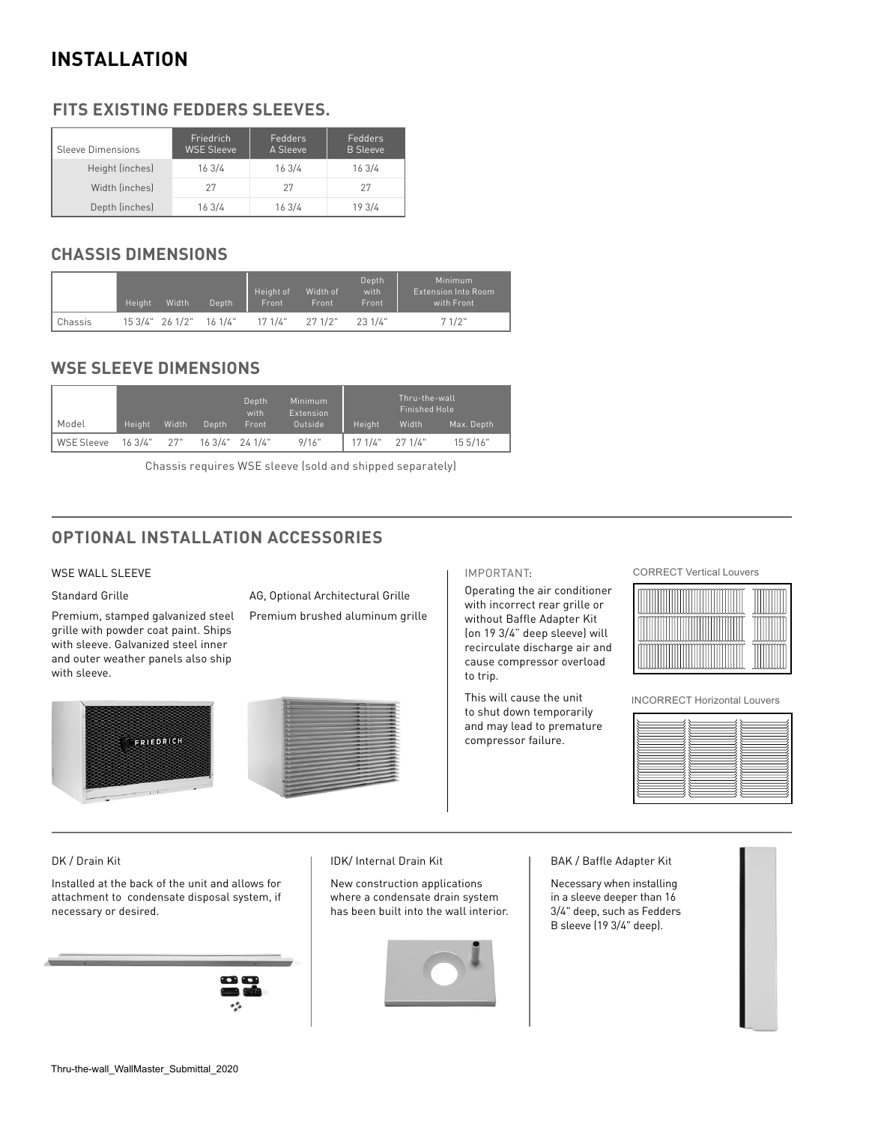# **INSTALLATION**

# **FITS EXISTING FEDDERS SLEEVES.**

| Sleeve Dimensions | Friedrich<br><b>WSE Sleeve</b> | Fedders<br>A Sleeve | Fedders<br><b>B</b> Sleeve |
|-------------------|--------------------------------|---------------------|----------------------------|
| Height (inches)   | 163/4                          | 163/4               | 163/4                      |
| Width (inches)    | 27                             | 27                  | 27                         |
| Depth (inches)    | 163/4                          | 163/4               | 19 3/4                     |

## **CHASSIS DIMENSIONS**

|         | Height | Width | Depth                   | Height of<br>Front | Width of<br>Front | Depth<br>with<br>Front | Minimum<br><b>Extension Into Room</b><br>with Front |
|---------|--------|-------|-------------------------|--------------------|-------------------|------------------------|-----------------------------------------------------|
| Chassis |        |       | 15 3/4" 26 1/2" 16 1/4" | 17.1/4"            | 271/2"            | 231/4"                 | 71/2"                                               |

## **WSE SLEEVE DIMENSIONS**

|                       |        |       |       | Depth<br>with      | <b>Minimum</b><br>Extension |                   | Thru-the-wall<br>Finished Hole |            |  |  |  |
|-----------------------|--------|-------|-------|--------------------|-----------------------------|-------------------|--------------------------------|------------|--|--|--|
| Model                 | Height | Width | Depth | Front              | Outside                     | Height            | Width                          | Max. Depth |  |  |  |
| WSE Sleeve 163/4" 27" |        |       |       | $163/4"$ 24 $1/4"$ | 9/16"                       | $17.1/4"$ 27.1/4" |                                | 15.5/16"   |  |  |  |

Chassis requires WSE sleeve (sold and shipped separately)

# **OPTIONAL INSTALLATION ACCESSORIES**

#### WSE WALL SLEEVE

Standard Grille

Premium, stamped galvanized steel grille with powder coat paint. Ships with sleeve. Galvanized steel inner and outer weather panels also ship with sleeve.

AG, Optional Architectural Grille

Premium brushed aluminum grille





#### IMPORTANT:

Operating the air conditioner with incorrect rear grille or without Baffle Adapter Kit (on 19 3/4" deep sleeve) will recirculate discharge air and cause compressor overload to trip.

This will cause the unit to shut down temporarily and may lead to premature compressor failure.

CORRECT Vertical Louvers



INCORRECT Horizontal Louvers

#### DK / Drain Kit

Installed at the back of the unit and allows for attachment to condensate disposal system, if necessary or desired.



#### IDK/ Internal Drain Kit

New construction applications where a condensate drain system has been built into the wall interior.



BAK / Baffle Adapter Kit

Necessary when installing in a sleeve deeper than 16 3/4" deep, such as Fedders B sleeve (19 3/4" deep).